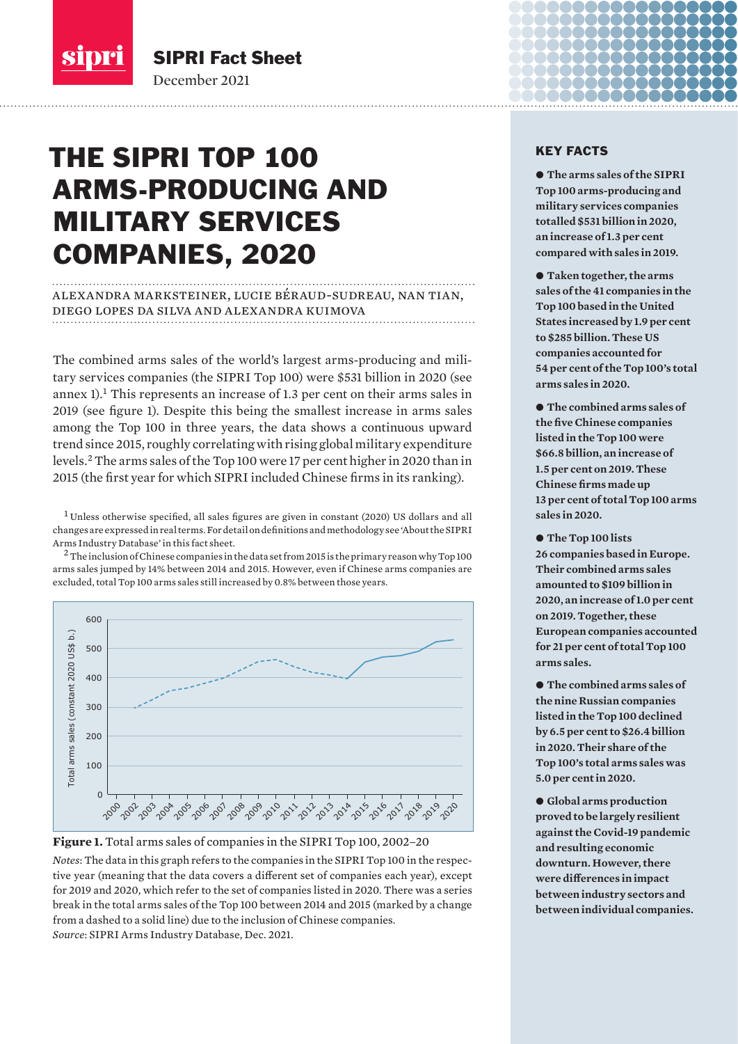

SIPRI Fact Sheet December 2021

# THE SIPRI TOP 100 ARMS-PRODUCING AND MILITARY SERVICES COMPANIES, 2020

# alexandra marksteiner, lucie béraud-sudreau, nan tian, diego lopes da silva and alexandra kuimova

The combined arms sales of the world's largest arms-producing and military services companies (the SIPRI Top 100) were \$531 billion in 2020 (see annex 1).<sup>1</sup> This represents an increase of 1.3 per cent on their arms sales in 2019 (see figure 1). Despite this being the smallest increase in arms sales among the Top 100 in three years, the data shows a continuous upward trend since 2015, roughly correlating with rising global military expenditure levels.<sup>2</sup> The arms sales of the Top 100 were 17 per cent higher in 2020 than in 2015 (the first year for which SIPRI included Chinese firms in its ranking).

<sup>1</sup> Unless otherwise specified, all sales figures are given in constant (2020) US dollars and all changes are expressed in real terms. For detail on definitions and methodology see 'About the SIPRI Arms Industry Database' in this fact sheet.

 $^2$  The inclusion of Chinese companies in the data set from 2015 is the primary reason why Top 100  $^{\circ}$ arms sales jumped by 14% between 2014 and 2015. However, even if Chinese arms companies are excluded, total Top 100 arms sales still increased by 0.8% between those years.





*Notes*: The data in this graph refers to the companies in the SIPRI Top 100 in the respective year (meaning that the data covers a different set of companies each year), except for 2019 and 2020, which refer to the set of companies listed in 2020. There was a series break in the total arms sales of the Top 100 between 2014 and 2015 (marked by a change from a dashed to a solid line) due to the inclusion of Chinese companies.

# KEY FACTS

 $\bullet$  **The arms sales of the SIPRI Top 100 arms-producing and military services companies totalled \$531 billion in 2020, an increase of 1.3 per cent compared with sales in 2019.** 

● Taken together, the arms **sales of the 41 companies in the Top 100 based in the United States increased by 1.9 per cent to \$285 billion. These US companies accounted for 54 per cent of the Top 100's total arms sales in 2020.** 

 $\bullet$  The combined arms sales of **the five Chinese companies listed in the Top 100 were \$66.8 billion, an increase of 1.5 per cent on 2019. These Chinese firms made up 13 per cent of total Top 100 arms sales in 2020.** 

● The Top 100 lists **26 companies based in Europe. Their combined arms sales amounted to \$109 billion in 2020, an increase of 1.0 per cent on 2019. Together, these European companies accounted for 21 per cent of total Top 100 arms sales.**

 $\bullet$  The combined arms sales of **the nine Russian companies listed in the Top 100 declined by 6.5 per cent to \$26.4 billion in 2020. Their share of the Top 100's total arms sales was 5.0 per cent in 2020.**

 $\bullet$  Global arms production **proved to be largely resilient against the Covid-19 pandemic and resulting economic downturn. However, there were differences in impact between industry sectors and between individual companies.**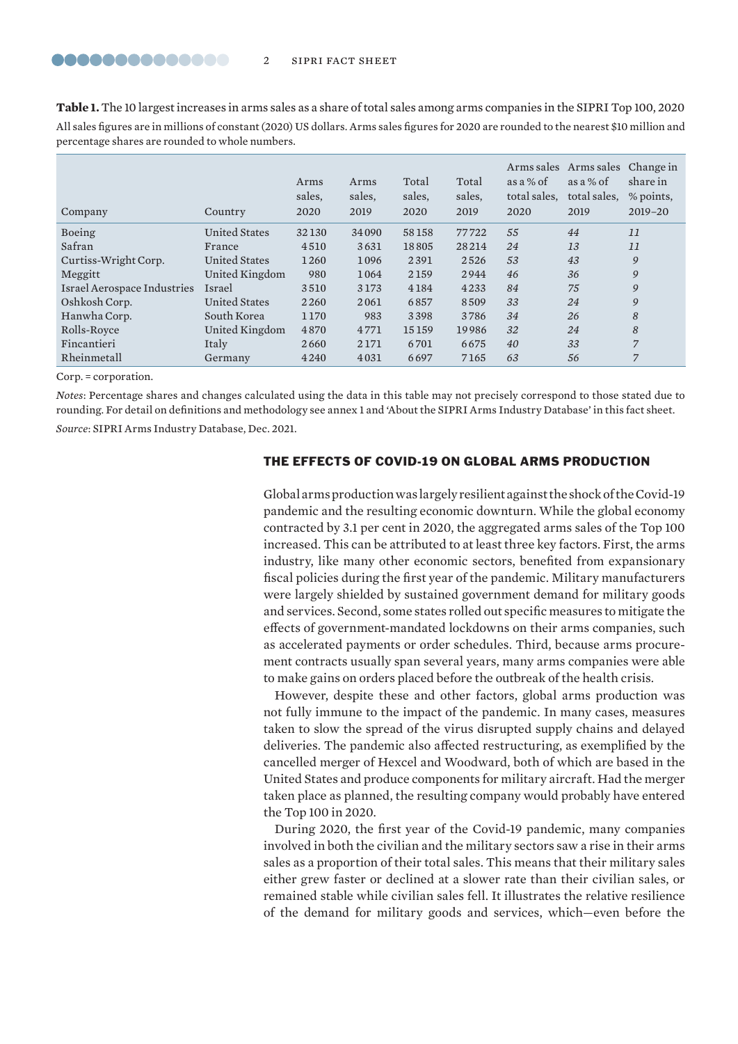**Table 1.** The 10 largest increases in arms sales as a share of total sales among arms companies in the SIPRI Top 100, 2020 All sales figures are in millions of constant (2020) US dollars. Arms sales figures for 2020 are rounded to the nearest \$10 million and percentage shares are rounded to whole numbers.

| Company                     | Country              | Arms<br>sales,<br>2020 | Arms<br>sales,<br>2019 | Total<br>sales.<br>2020 | Total<br>sales.<br>2019 | as a $%$ of<br>total sales.<br>2020 | Arms sales Arms sales Change in<br>as a $%$ of<br>total sales.<br>2019 | share in<br>% points,<br>$2019 - 20$ |
|-----------------------------|----------------------|------------------------|------------------------|-------------------------|-------------------------|-------------------------------------|------------------------------------------------------------------------|--------------------------------------|
| Boeing                      | <b>United States</b> | 32130                  | 34090                  | 58158                   | 77722                   | 55                                  | 44                                                                     | 11                                   |
| Safran                      | France               | 4510                   | 3631                   | 18805                   | 28214                   | 24                                  | 13                                                                     | 11                                   |
| Curtiss-Wright Corp.        | <b>United States</b> | 1260                   | 1096                   | 2391                    | 2526                    | 53                                  | 43                                                                     | 9                                    |
| Meggitt                     | United Kingdom       | 980                    | 1064                   | 2159                    | 2944                    | 46                                  | 36                                                                     | 9                                    |
| Israel Aerospace Industries | Israel               | 3510                   | 3173                   | 4184                    | 4233                    | 84                                  | 75                                                                     | 9                                    |
| Oshkosh Corp.               | <b>United States</b> | 2260                   | 2061                   | 6857                    | 8509                    | 33                                  | 24                                                                     | 9                                    |
| Hanwha Corp.                | South Korea          | 1170                   | 983                    | 3398                    | 3786                    | 34                                  | 26                                                                     | 8                                    |
| Rolls-Royce                 | United Kingdom       | 4870                   | 4771                   | 15159                   | 19986                   | 32                                  | 24                                                                     | 8                                    |
| Fincantieri                 | Italy                | 2660                   | 2171                   | 6701                    | 6675                    | 40                                  | 33                                                                     | $\overline{7}$                       |
| Rheinmetall                 | Germany              | 4240                   | 4031                   | 6697                    | 7165                    | 63                                  | 56                                                                     | 7                                    |

Corp. = corporation.

*Notes*: Percentage shares and changes calculated using the data in this table may not precisely correspond to those stated due to rounding. For detail on definitions and methodology see annex 1 and 'About the SIPRI Arms Industry Database' in this fact sheet.

*Source*: [SIPRI Arms Industry Database](https://www.sipri.org/databases/armsindustry), Dec. 2021.

#### THE EFFECTS OF COVID-19 ON GLOBAL ARMS PRODUCTION

Global arms production was largely resilient against the shock of the Covid-19 pandemic and the resulting economic downturn. While the global economy contracted by 3.1 per cent in 2020, the aggregated arms sales of the Top 100 increased. This can be attributed to at least three key factors. First, the arms industry, like many other economic sectors, benefited from expansionary fiscal policies during the first year of the pandemic. Military manufacturers were largely shielded by sustained government demand for military goods and services. Second, some states rolled out specific measures to mitigate the effects of government-mandated lockdowns on their arms companies, such as accelerated payments or order schedules. Third, because arms procurement contracts usually span several years, many arms companies were able to make gains on orders placed before the outbreak of the health crisis.

However, despite these and other factors, global arms production was not fully immune to the impact of the pandemic. In many cases, measures taken to slow the spread of the virus disrupted supply chains and delayed deliveries. The pandemic also affected restructuring, as exemplified by the cancelled merger of Hexcel and Woodward, both of which are based in the United States and produce components for military aircraft. Had the merger taken place as planned, the resulting company would probably have entered the Top 100 in 2020.

During 2020, the first year of the Covid-19 pandemic, many companies involved in both the civilian and the military sectors saw a rise in their arms sales as a proportion of their total sales. This means that their military sales either grew faster or declined at a slower rate than their civilian sales, or remained stable while civilian sales fell. It illustrates the relative resilience of the demand for military goods and services, which—even before the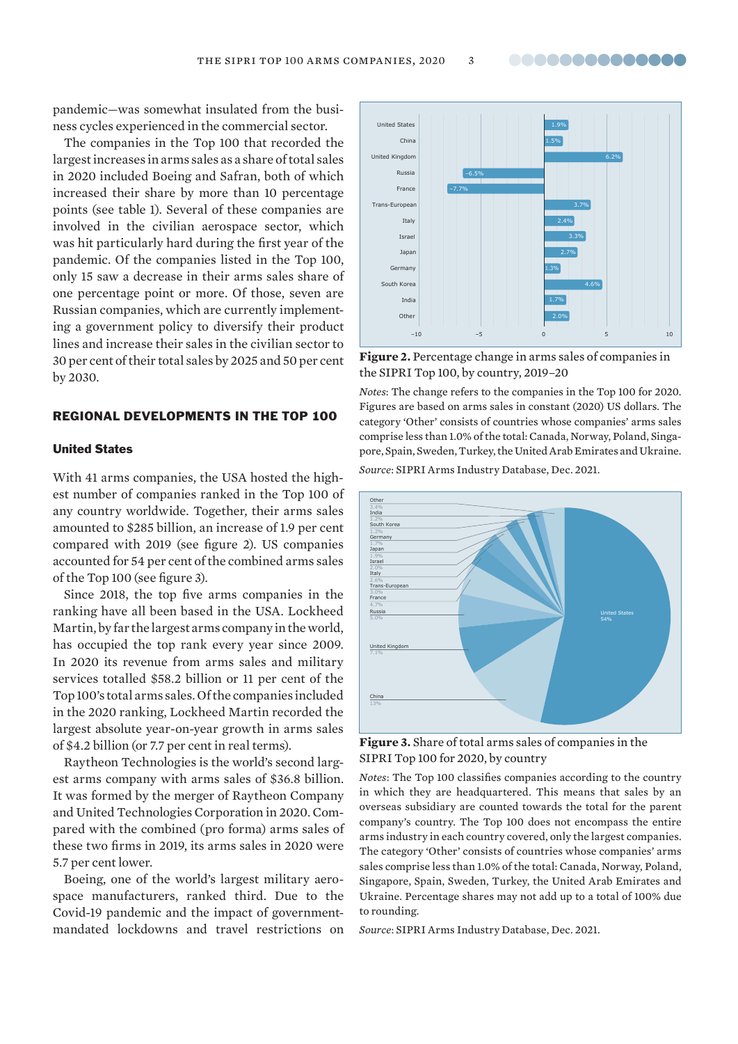pandemic—was somewhat insulated from the business cycles experienced in the commercial sector.

The companies in the Top 100 that recorded the largest increases in arms sales as a share of total sales in 2020 included Boeing and Safran, both of which increased their share by more than 10 percentage points (see table 1). Several of these companies are involved in the civilian aerospace sector, which was hit particularly hard during the first year of the pandemic. Of the companies listed in the Top 100, only 15 saw a decrease in their arms sales share of one percentage point or more. Of those, seven are Russian companies, which are currently implementing a government policy to diversify their product lines and increase their sales in the civilian sector to 30 per cent of their total sales by 2025 and 50 per cent by 2030.

#### REGIONAL DEVELOPMENTS IN THE TOP 100

#### United States

With 41 arms companies, the USA hosted the highest number of companies ranked in the Top 100 of any country worldwide. Together, their arms sales amounted to \$285 billion, an increase of 1.9 per cent compared with 2019 (see figure 2). US companies accounted for 54 per cent of the combined arms sales of the Top 100 (see figure 3).

Since 2018, the top five arms companies in the ranking have all been based in the USA. Lockheed Martin, by far the largest arms company in the world, has occupied the top rank every year since 2009. In 2020 its revenue from arms sales and military services totalled \$58.2 billion or 11 per cent of the Top 100's total arms sales. Of the companies included in the 2020 ranking, Lockheed Martin recorded the largest absolute year-on-year growth in arms sales of \$4.2 billion (or 7.7 per cent in real terms).

Raytheon Technologies is the world's second largest arms company with arms sales of \$36.8 billion. It was formed by the merger of Raytheon Company and United Technologies Corporation in 2020. Compared with the combined (pro forma) arms sales of these two firms in 2019, its arms sales in 2020 were 5.7 per cent lower.

Boeing, one of the world's largest military aerospace manufacturers, ranked third. Due to the Covid-19 pandemic and the impact of governmentmandated lockdowns and travel restrictions on



**Figure 2.** Percentage change in arms sales of companies in the SIPRI Top 100, by country, 2019–20

*Notes*: The change refers to the companies in the Top 100 for 2020. Figures are based on arms sales in constant (2020) US dollars. The category 'Other' consists of countries whose companies' arms sales comprise less than 1.0% of the total: Canada, Norway, Poland, Singapore, Spain, Sweden, Turkey, the United Arab Emirates and Ukraine. *Source*: [SIPRI Arms Industry Database,](https://www.sipri.org/databases/armsindustry) Dec. 2021.



**Figure 3.** Share of total arms sales of companies in the SIPRI Top 100 for 2020, by country

*Notes*: The Top 100 classifies companies according to the country in which they are headquartered. This means that sales by an overseas subsidiary are counted towards the total for the parent company's country. The Top 100 does not encompass the entire arms industry in each country covered, only the largest companies. The category 'Other' consists of countries whose companies' arms sales comprise less than 1.0% of the total: Canada, Norway, Poland, Singapore, Spain, Sweden, Turkey, the United Arab Emirates and Ukraine. Percentage shares may not add up to a total of 100% due to rounding.

*Source*: [SIPRI Arms Industry Database](https://www.sipri.org/databases/armsindustry), Dec. 2021.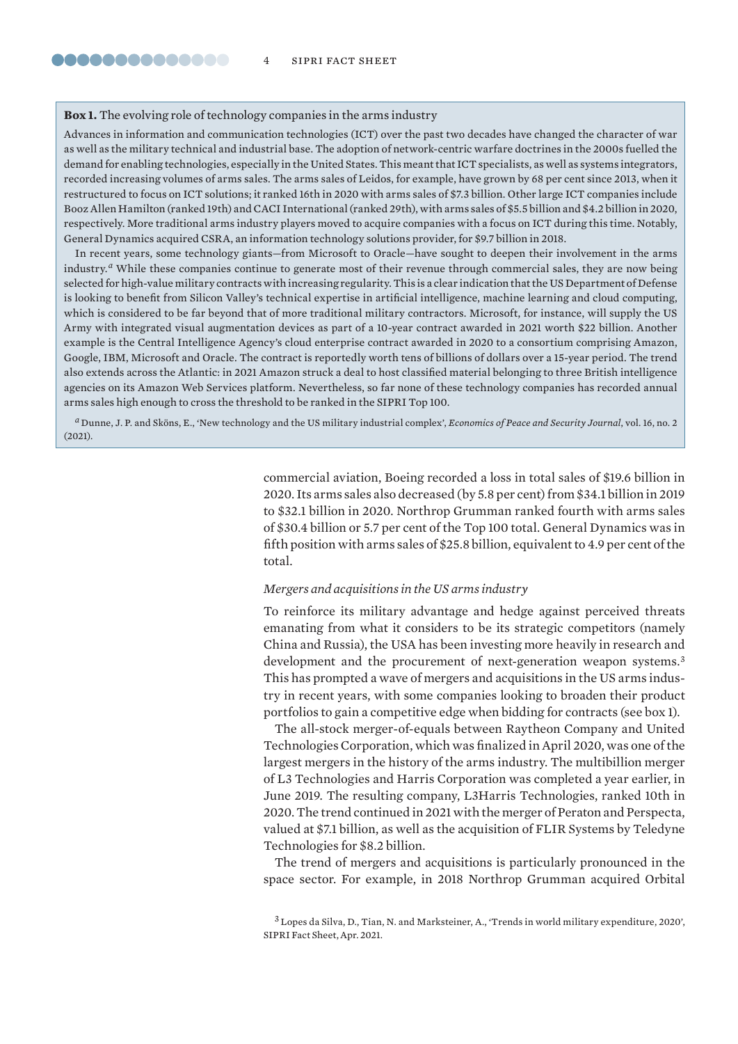#### **Box 1.** The evolving role of technology companies in the arms industry

Advances in information and communication technologies (ICT) over the past two decades have changed the character of war as well as the military technical and industrial base. The adoption of network-centric warfare doctrines in the 2000s fuelled the demand for enabling technologies, especially in the United States. This meant that ICT specialists, as well as systems integrators, recorded increasing volumes of arms sales. The arms sales of Leidos, for example, have grown by 68 per cent since 2013, when it restructured to focus on ICT solutions; it ranked 16th in 2020 with arms sales of \$7.3 billion. Other large ICT companies include Booz Allen Hamilton (ranked 19th) and CACI International (ranked 29th), with arms sales of \$5.5 billion and \$4.2 billion in 2020, respectively. More traditional arms industry players moved to acquire companies with a focus on ICT during this time. Notably, General Dynamics acquired CSRA, an information technology solutions provider, for \$9.7 billion in 2018.

In recent years, some technology giants—from Microsoft to Oracle—have sought to deepen their involvement in the arms industry.<sup>*a*</sup> While these companies continue to generate most of their revenue through commercial sales, they are now being selected for high-value military contracts with increasing regularity. This is a clear indication that the US Department of Defense is looking to benefit from Silicon Valley's technical expertise in artificial intelligence, machine learning and cloud computing, which is considered to be far beyond that of more traditional military contractors. Microsoft, for instance, will supply the US Army with integrated visual augmentation devices as part of a 10-year contract awarded in 2021 worth \$22 billion. Another example is the Central Intelligence Agency's cloud enterprise contract awarded in 2020 to a consortium comprising Amazon, Google, IBM, Microsoft and Oracle. The contract is reportedly worth tens of billions of dollars over a 15-year period. The trend also extends across the Atlantic: in 2021 Amazon struck a deal to host classified material belonging to three British intelligence agencies on its Amazon Web Services platform. Nevertheless, so far none of these technology companies has recorded annual arms sales high enough to cross the threshold to be ranked in the SIPRI Top 100.

*<sup>a</sup>* Dunne, J. P. and Sköns, E., '[New technology and the US military industrial complex'](https://www.epsjournal.org.uk/index.php/EPSJ/article/view/362), *Economics of Peace and Security Journal*, vol. 16, no. 2 (2021).

> commercial aviation, Boeing recorded a loss in total sales of \$19.6 billion in 2020. Its arms sales also decreased (by 5.8 per cent) from \$34.1 billion in 2019 to \$32.1 billion in 2020. Northrop Grumman ranked fourth with arms sales of \$30.4 billion or 5.7 per cent of the Top 100 total. General Dynamics was in fifth position with arms sales of \$25.8 billion, equivalent to 4.9 per cent of the total.

# *Mergers and acquisitions in the US arms industry*

To reinforce its military advantage and hedge against perceived threats emanating from what it considers to be its strategic competitors (namely China and Russia), the USA has been investing more heavily in research and development and the procurement of next-generation weapon systems.<sup>3</sup> This has prompted a wave of mergers and acquisitions in the US arms industry in recent years, with some companies looking to broaden their product portfolios to gain a competitive edge when bidding for contracts (see box 1).

The all-stock merger-of-equals between Raytheon Company and United Technologies Corporation, which was finalized in April 2020, was one of the largest mergers in the history of the arms industry. The multibillion merger of L3 Technologies and Harris Corporation was completed a year earlier, in June 2019. The resulting company, L3Harris Technologies, ranked 10th in 2020. The trend continued in 2021 with the merger of Peraton and Perspecta, valued at \$7.1 billion, as well as the acquisition of FLIR Systems by Teledyne Technologies for \$8.2 billion.

The trend of mergers and acquisitions is particularly pronounced in the space sector. For example, in 2018 Northrop Grumman acquired Orbital

<sup>3</sup> Lopes da Silva, D., Tian, N. and Marksteiner, A., '[Trends in world military expenditure, 2020](https://www.sipri.org/publications/2021/sipri-fact-sheets/trends-world-military-expenditure-2020)', SIPRI Fact Sheet, Apr. 2021.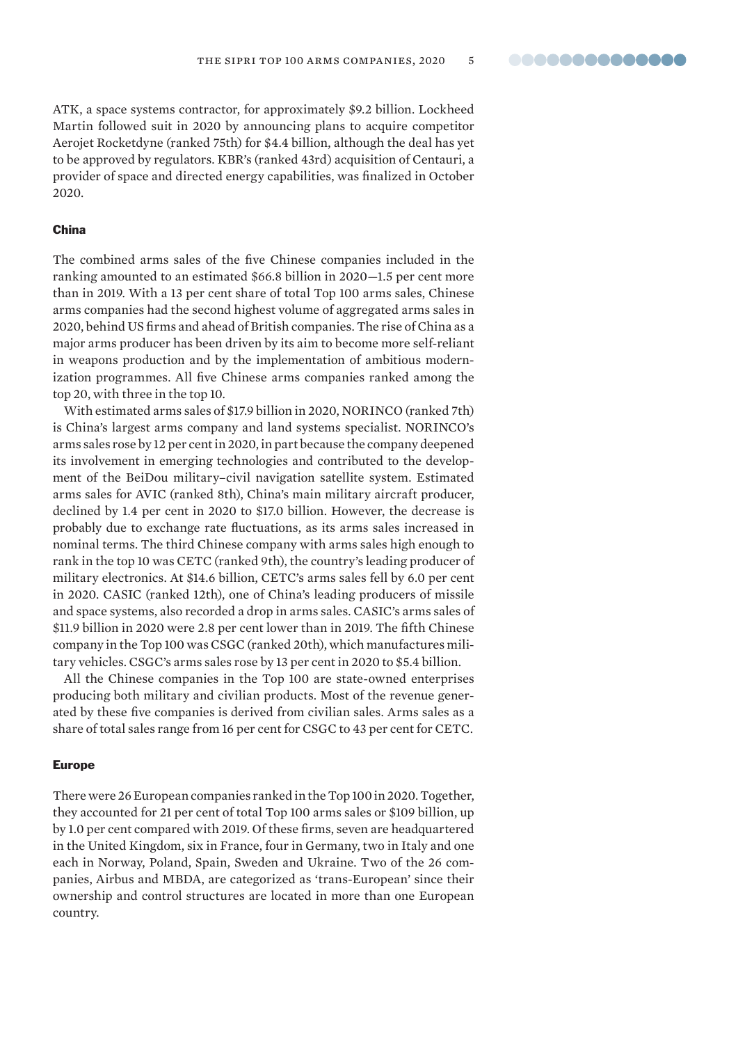ATK, a space systems contractor, for approximately \$9.2 billion. Lockheed Martin followed suit in 2020 by announcing plans to acquire competitor Aerojet Rocketdyne (ranked 75th) for \$4.4 billion, although the deal has yet to be approved by regulators. KBR's (ranked 43rd) acquisition of Centauri, a provider of space and directed energy capabilities, was finalized in October 2020.

#### China

The combined arms sales of the five Chinese companies included in the ranking amounted to an estimated \$66.8 billion in 2020—1.5 per cent more than in 2019. With a 13 per cent share of total Top 100 arms sales, Chinese arms companies had the second highest volume of aggregated arms sales in 2020, behind US firms and ahead of British companies. The rise of China as a major arms producer has been driven by its aim to become more self-reliant in weapons production and by the implementation of ambitious modernization programmes. All five Chinese arms companies ranked among the top 20, with three in the top 10.

With estimated arms sales of \$17.9 billion in 2020, NORINCO (ranked 7th) is China's largest arms company and land systems specialist. NORINCO's arms sales rose by 12 per cent in 2020, in part because the company deepened its involvement in emerging technologies and contributed to the development of the BeiDou military–civil navigation satellite system. Estimated arms sales for AVIC (ranked 8th), China's main military aircraft producer, declined by 1.4 per cent in 2020 to \$17.0 billion. However, the decrease is probably due to exchange rate fluctuations, as its arms sales increased in nominal terms. The third Chinese company with arms sales high enough to rank in the top 10 was CETC (ranked 9th), the country's leading producer of military electronics. At \$14.6 billion, CETC's arms sales fell by 6.0 per cent in 2020. CASIC (ranked 12th), one of China's leading producers of missile and space systems, also recorded a drop in arms sales. CASIC's arms sales of \$11.9 billion in 2020 were 2.8 per cent lower than in 2019. The fifth Chinese company in the Top 100 was CSGC (ranked 20th), which manufactures military vehicles. CSGC's arms sales rose by 13 per cent in 2020 to \$5.4 billion.

All the Chinese companies in the Top 100 are state-owned enterprises producing both military and civilian products. Most of the revenue generated by these five companies is derived from civilian sales. Arms sales as a share of total sales range from 16 per cent for CSGC to 43 per cent for CETC.

#### Europe

There were 26 European companies ranked in the Top 100 in 2020. Together, they accounted for 21 per cent of total Top 100 arms sales or \$109 billion, up by 1.0 per cent compared with 2019. Of these firms, seven are headquartered in the United Kingdom, six in France, four in Germany, two in Italy and one each in Norway, Poland, Spain, Sweden and Ukraine. Two of the 26 companies, Airbus and MBDA, are categorized as 'trans-European' since their ownership and control structures are located in more than one European country.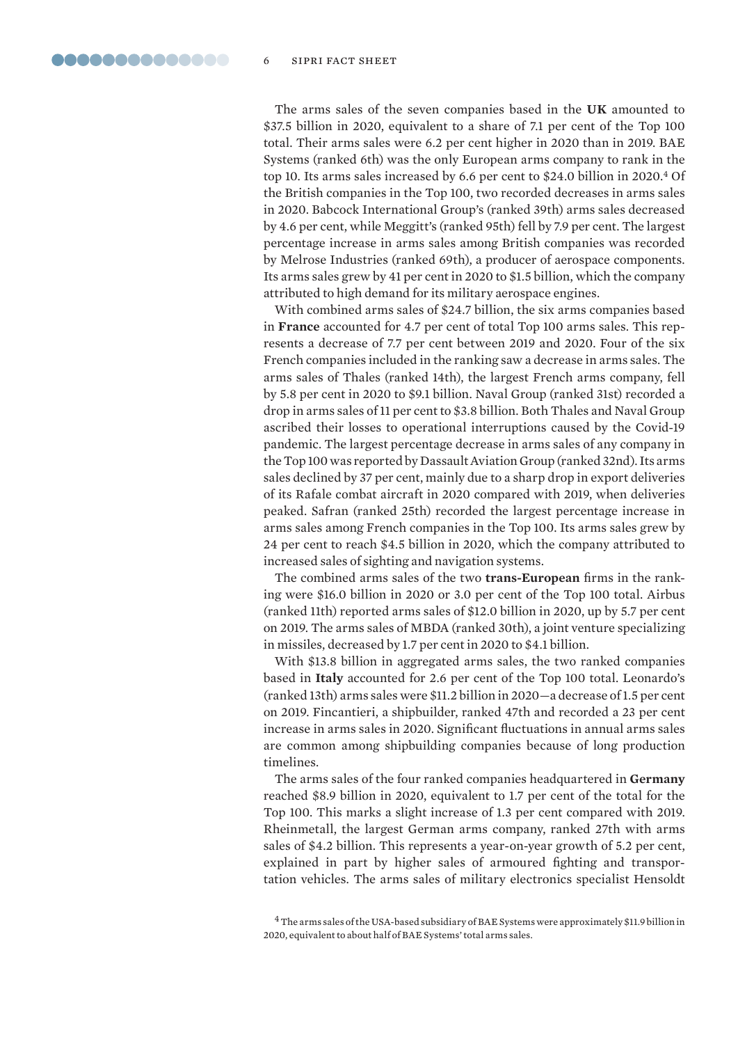The arms sales of the seven companies based in the **UK** amounted to \$37.5 billion in 2020, equivalent to a share of 7.1 per cent of the Top 100 total. Their arms sales were 6.2 per cent higher in 2020 than in 2019. BAE Systems (ranked 6th) was the only European arms company to rank in the top 10. Its arms sales increased by 6.6 per cent to \$24.0 billion in 2020.<sup>4</sup> Of the British companies in the Top 100, two recorded decreases in arms sales in 2020. Babcock International Group's (ranked 39th) arms sales decreased by 4.6 per cent, while Meggitt's (ranked 95th) fell by 7.9 per cent. The largest percentage increase in arms sales among British companies was recorded by Melrose Industries (ranked 69th), a producer of aerospace components. Its arms sales grew by 41 per cent in 2020 to \$1.5 billion, which the company attributed to high demand for its military aerospace engines.

With combined arms sales of \$24.7 billion, the six arms companies based in **France** accounted for 4.7 per cent of total Top 100 arms sales. This represents a decrease of 7.7 per cent between 2019 and 2020. Four of the six French companies included in the ranking saw a decrease in arms sales. The arms sales of Thales (ranked 14th), the largest French arms company, fell by 5.8 per cent in 2020 to \$9.1 billion. Naval Group (ranked 31st) recorded a drop in arms sales of 11 per cent to \$3.8 billion. Both Thales and Naval Group ascribed their losses to operational interruptions caused by the Covid-19 pandemic. The largest percentage decrease in arms sales of any company in the Top 100 was reported by Dassault Aviation Group (ranked 32nd). Its arms sales declined by 37 per cent, mainly due to a sharp drop in export deliveries of its Rafale combat aircraft in 2020 compared with 2019, when deliveries peaked. Safran (ranked 25th) recorded the largest percentage increase in arms sales among French companies in the Top 100. Its arms sales grew by 24 per cent to reach \$4.5 billion in 2020, which the company attributed to increased sales of sighting and navigation systems.

The combined arms sales of the two **trans-European** firms in the ranking were \$16.0 billion in 2020 or 3.0 per cent of the Top 100 total. Airbus (ranked 11th) reported arms sales of \$12.0 billion in 2020, up by 5.7 per cent on 2019. The arms sales of MBDA (ranked 30th), a joint venture specializing in missiles, decreased by 1.7 per cent in 2020 to \$4.1 billion.

With \$13.8 billion in aggregated arms sales, the two ranked companies based in **Italy** accounted for 2.6 per cent of the Top 100 total. Leonardo's (ranked 13th) arms sales were \$11.2 billion in 2020—a decrease of 1.5 per cent on 2019. Fincantieri, a shipbuilder, ranked 47th and recorded a 23 per cent increase in arms sales in 2020. Significant fluctuations in annual arms sales are common among shipbuilding companies because of long production timelines.

The arms sales of the four ranked companies headquartered in **Germany** reached \$8.9 billion in 2020, equivalent to 1.7 per cent of the total for the Top 100. This marks a slight increase of 1.3 per cent compared with 2019. Rheinmetall, the largest German arms company, ranked 27th with arms sales of \$4.2 billion. This represents a year-on-year growth of 5.2 per cent, explained in part by higher sales of armoured fighting and transportation vehicles. The arms sales of military electronics specialist Hensoldt

<sup>4</sup>The arms sales of the USA-based subsidiary of BAE Systems were approximately \$11.9 billion in 2020, equivalent to about half of BAE Systems' total arms sales.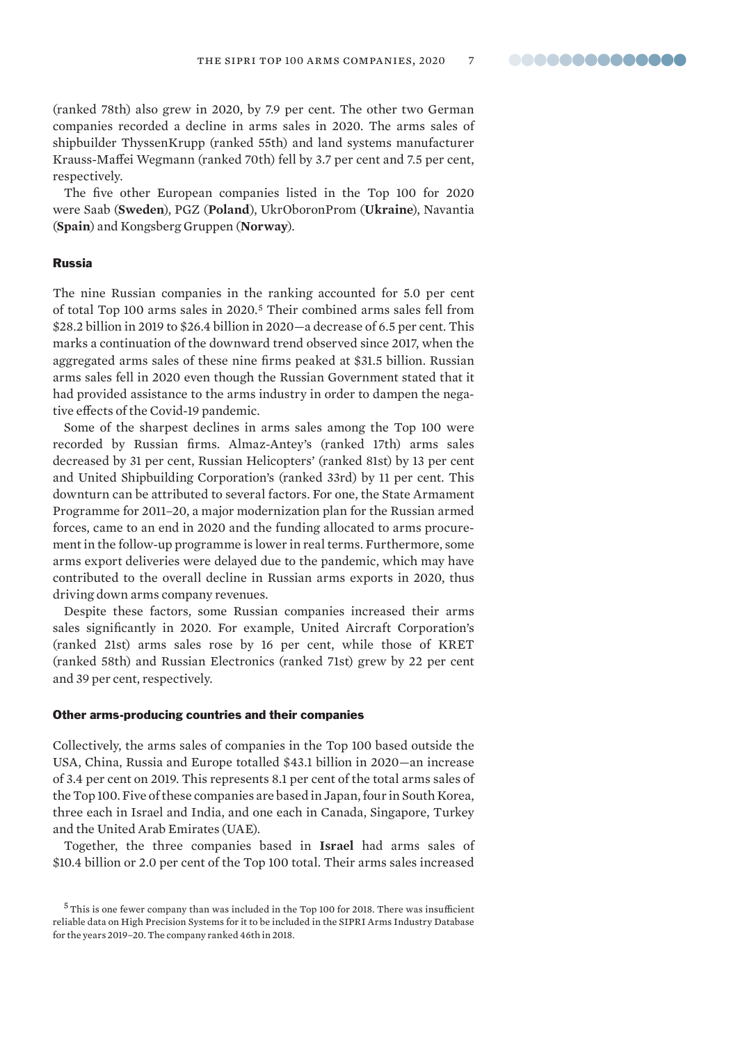(ranked 78th) also grew in 2020, by 7.9 per cent. The other two German companies recorded a decline in arms sales in 2020. The arms sales of shipbuilder ThyssenKrupp (ranked 55th) and land systems manufacturer Krauss-Maffei Wegmann (ranked 70th) fell by 3.7 per cent and 7.5 per cent, respectively.

The five other European companies listed in the Top 100 for 2020 were Saab (**Sweden**), PGZ (**Poland**), UkrOboronProm (**Ukraine**), Navantia (**Spain**) and Kongsberg Gruppen (**Norway**).

#### Russia

The nine Russian companies in the ranking accounted for 5.0 per cent of total Top 100 arms sales in 2020.<sup>5</sup> Their combined arms sales fell from \$28.2 billion in 2019 to \$26.4 billion in 2020—a decrease of 6.5 per cent. This marks a continuation of the downward trend observed since 2017, when the aggregated arms sales of these nine firms peaked at \$31.5 billion. Russian arms sales fell in 2020 even though the Russian Government stated that it had provided assistance to the arms industry in order to dampen the negative effects of the Covid-19 pandemic.

Some of the sharpest declines in arms sales among the Top 100 were recorded by Russian firms. Almaz-Antey's (ranked 17th) arms sales decreased by 31 per cent, Russian Helicopters' (ranked 81st) by 13 per cent and United Shipbuilding Corporation's (ranked 33rd) by 11 per cent. This downturn can be attributed to several factors. For one, the State Armament Programme for 2011–20, a major modernization plan for the Russian armed forces, came to an end in 2020 and the funding allocated to arms procurement in the follow-up programme is lower in real terms. Furthermore, some arms export deliveries were delayed due to the pandemic, which may have contributed to the overall decline in Russian arms exports in 2020, thus driving down arms company revenues.

Despite these factors, some Russian companies increased their arms sales significantly in 2020. For example, United Aircraft Corporation's (ranked 21st) arms sales rose by 16 per cent, while those of KRET (ranked 58th) and Russian Electronics (ranked 71st) grew by 22 per cent and 39 per cent, respectively.

#### Other arms-producing countries and their companies

Collectively, the arms sales of companies in the Top 100 based outside the USA, China, Russia and Europe totalled \$43.1 billion in 2020—an increase of 3.4 per cent on 2019. This represents 8.1 per cent of the total arms sales of the Top 100. Five of these companies are based in Japan, four in South Korea, three each in Israel and India, and one each in Canada, Singapore, Turkey and the United Arab Emirates (UAE).

Together, the three companies based in **Israel** had arms sales of \$10.4 billion or 2.0 per cent of the Top 100 total. Their arms sales increased

<sup>5</sup>This is one fewer company than was included in the Top 100 for 2018. There was insufficient reliable data on High Precision Systems for it to be included in the SIPRI Arms Industry Database for the years 2019–20. The company ranked 46th in 2018.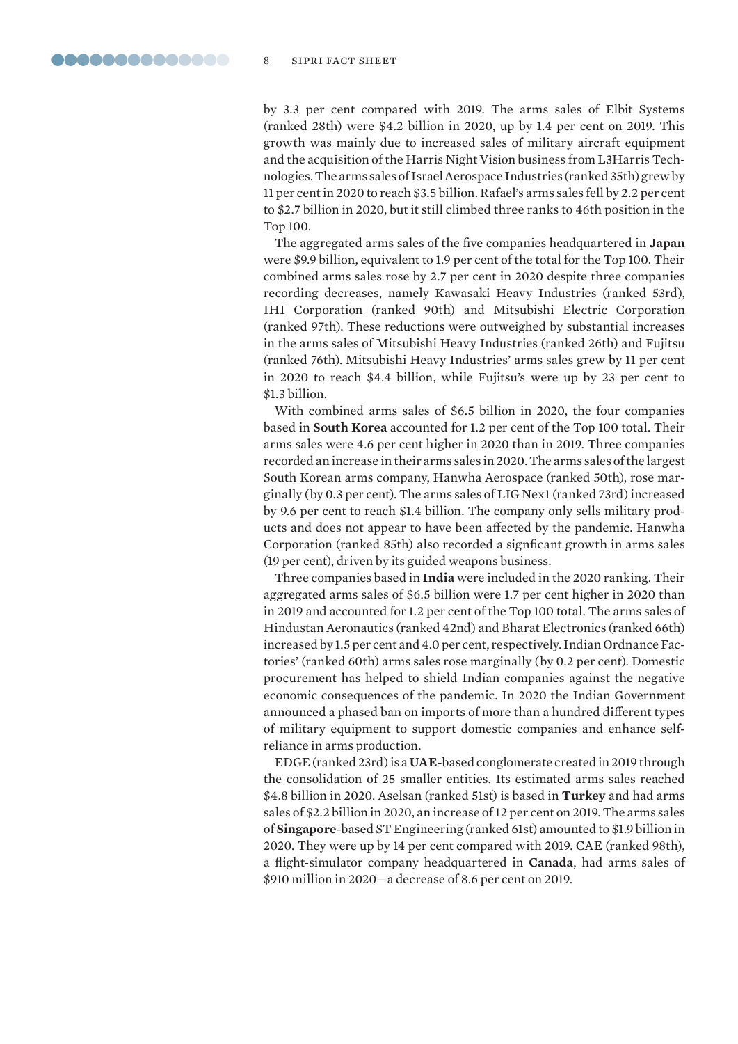by 3.3 per cent compared with 2019. The arms sales of Elbit Systems (ranked 28th) were \$4.2 billion in 2020, up by 1.4 per cent on 2019. This growth was mainly due to increased sales of military aircraft equipment and the acquisition of the Harris Night Vision business from L3Harris Technologies. The arms sales of Israel Aerospace Industries (ranked 35th) grew by 11 per cent in 2020 to reach \$3.5 billion. Rafael's arms sales fell by 2.2 per cent to \$2.7 billion in 2020, but it still climbed three ranks to 46th position in the Top 100.

The aggregated arms sales of the five companies headquartered in **Japan** were \$9.9 billion, equivalent to 1.9 per cent of the total for the Top 100. Their combined arms sales rose by 2.7 per cent in 2020 despite three companies recording decreases, namely Kawasaki Heavy Industries (ranked 53rd), IHI Corporation (ranked 90th) and Mitsubishi Electric Corporation (ranked 97th). These reductions were outweighed by substantial increases in the arms sales of Mitsubishi Heavy Industries (ranked 26th) and Fujitsu (ranked 76th). Mitsubishi Heavy Industries' arms sales grew by 11 per cent in 2020 to reach \$4.4 billion, while Fujitsu's were up by 23 per cent to \$1.3 billion.

With combined arms sales of \$6.5 billion in 2020, the four companies based in **South Korea** accounted for 1.2 per cent of the Top 100 total. Their arms sales were 4.6 per cent higher in 2020 than in 2019. Three companies recorded an increase in their arms sales in 2020. The arms sales of the largest South Korean arms company, Hanwha Aerospace (ranked 50th), rose marginally (by 0.3 per cent). The arms sales of LIG Nex1 (ranked 73rd) increased by 9.6 per cent to reach \$1.4 billion. The company only sells military products and does not appear to have been affected by the pandemic. Hanwha Corporation (ranked 85th) also recorded a signficant growth in arms sales (19 per cent), driven by its guided weapons business.

Three companies based in **India** were included in the 2020 ranking. Their aggregated arms sales of \$6.5 billion were 1.7 per cent higher in 2020 than in 2019 and accounted for 1.2 per cent of the Top 100 total. The arms sales of Hindustan Aeronautics (ranked 42nd) and Bharat Electronics (ranked 66th) increased by 1.5 per cent and 4.0 per cent, respectively. Indian Ordnance Factories' (ranked 60th) arms sales rose marginally (by 0.2 per cent). Domestic procurement has helped to shield Indian companies against the negative economic consequences of the pandemic. In 2020 the Indian Government announced a phased ban on imports of more than a hundred different types of military equipment to support domestic companies and enhance selfreliance in arms production.

EDGE (ranked 23rd) is a **UAE**-based conglomerate created in 2019 through the consolidation of 25 smaller entities. Its estimated arms sales reached \$4.8 billion in 2020. Aselsan (ranked 51st) is based in **Turkey** and had arms sales of \$2.2 billion in 2020, an increase of 12 per cent on 2019. The arms sales of **Singapore**-based ST Engineering (ranked 61st) amounted to \$1.9 billion in 2020. They were up by 14 per cent compared with 2019. CAE (ranked 98th), a flight-simulator company headquartered in **Canada**, had arms sales of \$910 million in 2020—a decrease of 8.6 per cent on 2019.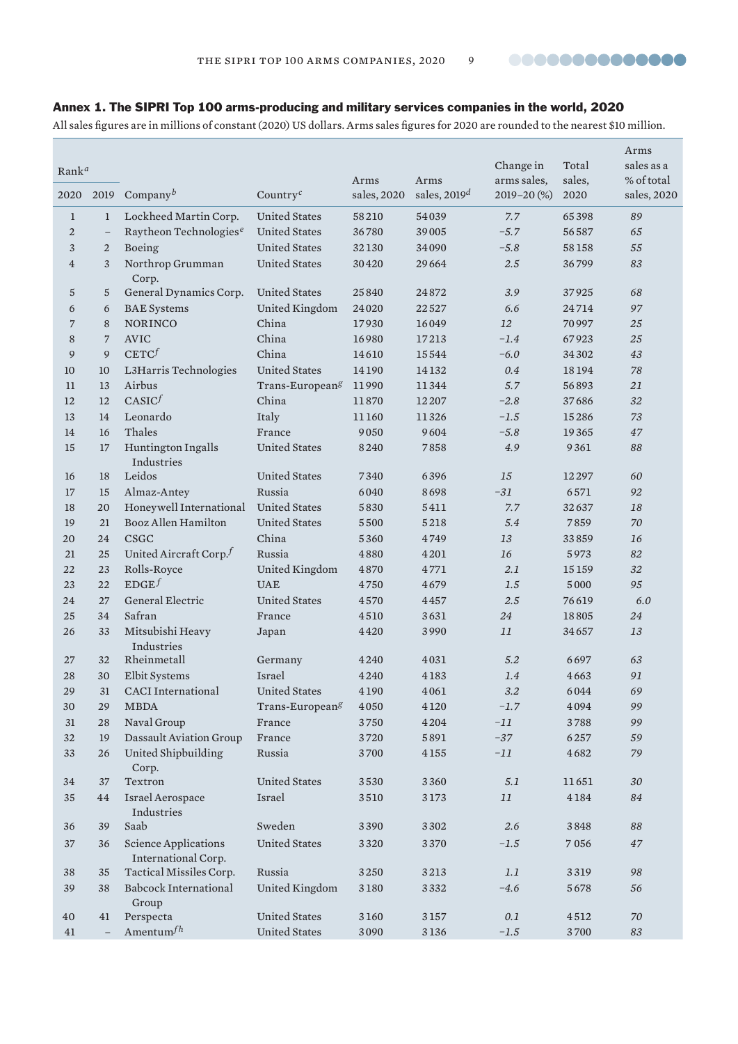

# Annex 1. The SIPRI Top 100 arms-producing and military services companies in the world, 2020

All sales figures are in millions of constant (2020) US dollars. Arms sales figures for 2020 are rounded to the nearest \$10 million.

|                |                          |                                                    |                                   |             |                |             |        | Arms        |
|----------------|--------------------------|----------------------------------------------------|-----------------------------------|-------------|----------------|-------------|--------|-------------|
| Rank $a$       |                          |                                                    |                                   |             |                | Change in   | Total  | sales as a  |
|                |                          |                                                    |                                   | Arms        | Arms           | arms sales, | sales, | % of total  |
| 2020           | 2019                     | Company $^b$                                       | Country <sup><math>c</math></sup> | sales, 2020 | sales, $2019d$ | 2019-20 (%) | 2020   | sales, 2020 |
| $\mathbf{1}$   | $\mathbf{1}$             | Lockheed Martin Corp.                              | <b>United States</b>              | 58210       | 54039          | 7.7         | 65398  | 89          |
| $\overline{2}$ | $\overline{\phantom{0}}$ | Raytheon Technologies <sup>e</sup>                 | <b>United States</b>              | 36780       | 39005          | $-5.7$      | 56587  | 65          |
| 3              | $\overline{2}$           | Boeing                                             | <b>United States</b>              | 32130       | 34090          | $-5.8$      | 58158  | 55          |
| $\overline{4}$ | 3                        | Northrop Grumman                                   | <b>United States</b>              | 30420       | 29664          | 2.5         | 36799  | 83          |
|                |                          | Corp.                                              |                                   |             |                |             |        |             |
| $\sqrt{5}$     | 5                        | General Dynamics Corp.                             | <b>United States</b>              | 25840       | 24872          | 3.9         | 37925  | 68          |
| 6              | 6                        | <b>BAE</b> Systems                                 | United Kingdom                    | 24020       | 22527          | 6.6         | 24714  | 97          |
| 7              | 8                        | <b>NORINCO</b>                                     | China                             | 17930       | 16049          | 12          | 70997  | 25          |
| 8              | $\overline{7}$           | <b>AVIC</b>                                        | China                             | 16980       | 17213          | $-1.4$      | 67923  | 25          |
| 9              | 9                        | CETC <sup>f</sup>                                  | China                             | 14610       | 15544          | $-6.0$      | 34302  | 43          |
| 10             | 10                       | L3Harris Technologies                              | <b>United States</b>              | 14190       | 14132          | 0.4         | 18194  | 78          |
| 11             | 13                       | Airbus                                             | Trans-European <sup>g</sup>       | 11990       | 11344          | 5.7         | 56893  | 21          |
| 12             | 12                       | CASIC <sup>f</sup>                                 | China                             | 11870       | 12207          | $-2.8$      | 37686  | 32          |
| 13             | 14                       | Leonardo                                           | Italy                             | 11160       | 11326          | $-1.5$      | 15286  | 73          |
| 14             | 16                       | Thales                                             | France                            | 9050        | 9604           | $-5.8$      | 19365  | 47          |
| 15             | 17                       | Huntington Ingalls                                 | <b>United States</b>              | 8240        | 7858           | 4.9         | 9361   | 88          |
|                |                          | Industries                                         |                                   |             |                |             |        |             |
| 16             | 18                       | Leidos                                             | <b>United States</b>              | 7340        | 6396           | 15          | 12297  | 60          |
| 17             | 15                       | Almaz-Antey                                        | Russia                            | 6040        | 8698           | $-31$       | 6571   | 92          |
| 18             | 20                       | Honeywell International                            | <b>United States</b>              | 5830        | 5411           | 7.7         | 32637  | 18          |
| 19             | 21                       | Booz Allen Hamilton                                | <b>United States</b>              | 5500        | 5218           | 5.4         | 7859   | 70          |
| 20             | 24                       | <b>CSGC</b>                                        | China                             | 5360        | 4749           | 13          | 33859  | 16          |
| 21             | 25                       | United Aircraft Corp. $f$                          | Russia                            | 4880        | 4201           | 16          | 5973   | 82          |
| 22             | 23                       | Rolls-Royce                                        | United Kingdom                    | 4870        | 4771           | 2.1         | 15159  | 32          |
| 23             | 22                       | EDGE <sup>f</sup>                                  | <b>UAE</b>                        | 4750        | 4679           | 1.5         | 5000   | 95          |
| 24             | 27                       | General Electric                                   | <b>United States</b>              | 4570        | 4457           | 2.5         | 76619  | 6.0         |
| 25             | 34                       | Safran                                             | France                            | 4510        | 3631           | 24          | 18805  | 24          |
| 26             | 33                       | Mitsubishi Heavy<br><b>Industries</b>              | Japan                             | 4420        | 3990           | 11          | 34657  | 13          |
| 27             | 32                       | Rheinmetall                                        | Germany                           | 4240        | 4031           | 5.2         | 6697   | 63          |
| 28             | 30                       | Elbit Systems                                      | Israel                            | 4240        | 4183           | 1.4         | 4663   | 91          |
| 29             | 31                       | <b>CACI</b> International                          | <b>United States</b>              | 4190        | 4061           | 3.2         | 6044   | 69          |
| $30\,$         | 29                       | $\ensuremath{\mathsf{MBDA}}$                       | Trans-European <sup>g</sup>       | $4\,050$    | 4120           | $-1.7$      | 4094   | 99          |
| 31             | 28                       | Naval Group                                        | France                            | 3750        | 4204           | $-11$       | 3788   | 99          |
| 32             | 19                       | Dassault Aviation Group                            | France                            | 3720        | 5891           | $-37$       | 6257   | 59          |
| 33             | 26                       | United Shipbuilding<br>Corp.                       | Russia                            | 3700        | 4155           | $-11$       | 4682   | 79          |
| 34             | 37                       | Textron                                            | <b>United States</b>              | 3530        | 3360           | 5.1         | 11651  | 30          |
| 35             | 44                       | Israel Aerospace                                   | Israel                            | 3510        | 3173           | 11          | 4184   | 84          |
|                |                          | Industries                                         |                                   |             |                |             |        |             |
| 36             | 39                       | Saab                                               | Sweden                            | 3390        | 3302           | 2.6         | 3848   | 88          |
| 37             | 36                       | <b>Science Applications</b><br>International Corp. | <b>United States</b>              | 3320        | 3370           | $-1.5$      | 7056   | 47          |
| $38\,$         | 35                       | Tactical Missiles Corp.                            | Russia                            | 3250        | 3213           | 1.1         | 3319   | 98          |
| 39             | 38                       | <b>Babcock International</b><br>Group              | United Kingdom                    | 3180        | 3332           | $-4.6$      | 5678   | 56          |
| 40             | 41                       | Perspecta                                          | <b>United States</b>              | 3160        | 3157           | $0.1\,$     | 4512   | 70          |
| 41             | $\equiv$                 | Amentum $^{fh}$                                    | <b>United States</b>              | 3090        | 3136           | $-1.5$      | 3700   | 83          |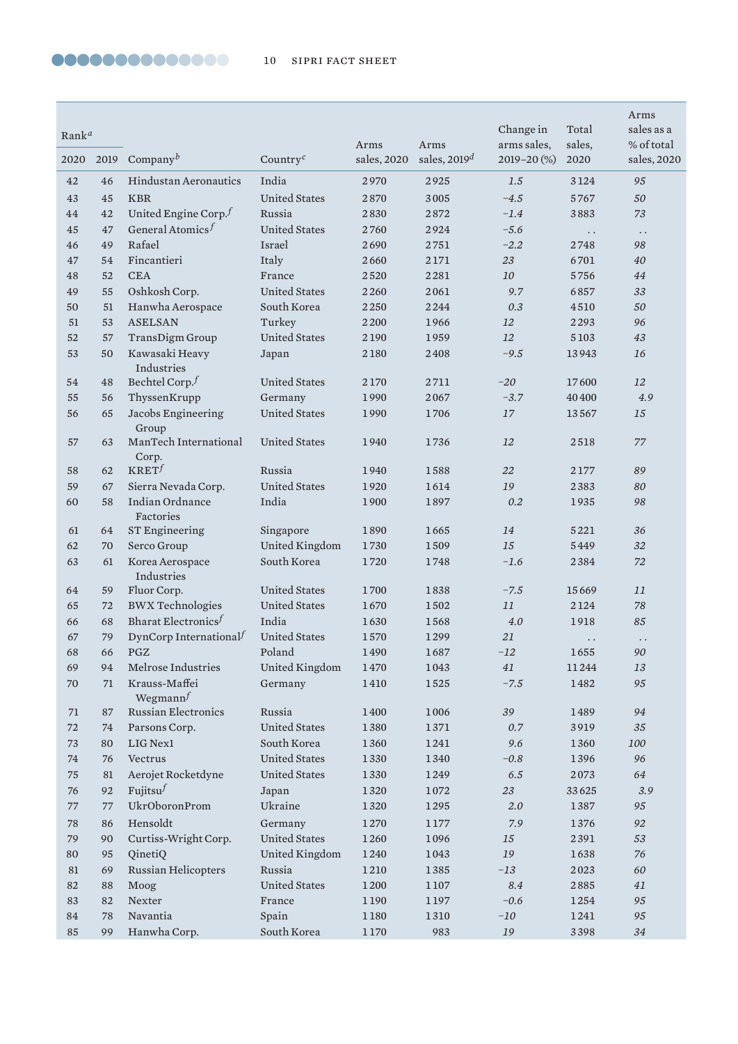| $Rank^a$ |          |                                    |                                              | Arms         | Arms           | Change in<br>arms sales,   | Total<br>sales,      | Arms<br>sales as a<br>% of total |
|----------|----------|------------------------------------|----------------------------------------------|--------------|----------------|----------------------------|----------------------|----------------------------------|
| 2020     | 2019     | Company <sup>b</sup>               | Country <sup><math>c</math></sup>            | sales, 2020  | sales, $2019d$ | 2019-20 (%)                | 2020                 | sales, 2020                      |
| 42       | 46       | <b>Hindustan Aeronautics</b>       | India                                        | 2970         | 2925           | 1.5                        | 3124                 | 95                               |
| 43       | 45       | <b>KBR</b>                         | <b>United States</b>                         | 2870         | 3005           | $-4.5$                     | 5767                 | 50                               |
| 44       | 42       | United Engine Corp. $f$            | Russia                                       | 2830         | 2872           | $-1.4$                     | 3883                 | 73                               |
| 45       | 47       | General Atomics $f$                | <b>United States</b>                         | 2760         | 2924           | $-5.6$                     | $\ddots$             | $\ddot{\phantom{0}}$             |
| 46       | 49       | Rafael                             | Israel                                       | 2690         | 2751           | $-2.2$                     | 2748                 | 98                               |
| $47\,$   | 54       | Fincantieri                        | Italy                                        | 2660         | 2171           | 23                         | 6701                 | 40                               |
| 48       | 52       | <b>CEA</b>                         | France                                       | 2520         | 2281           | 10                         | 5756                 | 44                               |
| 49       | 55       | Oshkosh Corp.                      | <b>United States</b>                         | 2260         | 2061           | 9.7                        | 6857                 | 33                               |
| 50       | 51       | Hanwha Aerospace                   | South Korea                                  | 2250         | 2244           | 0.3                        | 4510                 | 50                               |
| 51       | 53       | <b>ASELSAN</b>                     | Turkey                                       | 2200         | 1966           | 12                         | 2293                 | 96                               |
| 52       | 57       | TransDigm Group                    | <b>United States</b>                         | 2190         | 1959           | 12                         | 5103                 | 43                               |
| 53       | 50       | Kawasaki Heavy<br>Industries       | Japan                                        | 2180         | 2408           | $-9.5$                     | 13943                | 16                               |
| 54       | 48       | Bechtel Corp. $f$                  | <b>United States</b>                         | 2170         | 2711           | $-20$                      | 17600                | 12                               |
| 55       | 56       | ThyssenKrupp                       | Germany                                      | 1990         | 2067           | $-3.7$                     | 40400                | 4.9                              |
| 56       | 65       | Jacobs Engineering<br>Group        | <b>United States</b>                         | 1990         | 1706           | 17                         | 13567                | 15                               |
| 57       | 63       | ManTech International<br>Corp.     | <b>United States</b>                         | 1940         | 1736           | 12                         | 2518                 | $77\,$                           |
| 58       | 62       | KRET <sup>f</sup>                  | Russia                                       | 1940         | 1588           | 22                         | 2177                 | 89                               |
| 59       | 67       | Sierra Nevada Corp.                | <b>United States</b>                         | 1920         | 1614           | 19                         | 2383                 | 80                               |
| 60       | 58       | Indian Ordnance<br>Factories       | India                                        | 1900         | 1897           | 0.2                        | 1935                 | 98                               |
| 61       | 64       | <b>ST Engineering</b>              | Singapore                                    | 1890         | 1665           | 14                         | 5221                 | 36                               |
| 62       | 70       | Serco Group                        | United Kingdom                               | 1730         | 1509           | 15                         | 5449                 | 32                               |
| 63       | 61       | Korea Aerospace<br>Industries      | South Korea                                  | 1720         | 1748           | $-1.6$                     | 2384                 | 72                               |
| 64       | 59       | Fluor Corp.                        | <b>United States</b>                         | 1700         | 1838           | $-7.5$                     | 15669                | 11                               |
| 65       | 72       | <b>BWX</b> Technologies            | <b>United States</b>                         | 1670         | 1502           | 11                         | 2124                 | 78                               |
| 66       | 68       | Bharat Electronics <sup>f</sup>    | India                                        | 1630         | 1568           | 4.0                        | 1918                 | 85                               |
| 67       | 79       | DynCorp International <sup>f</sup> | <b>United States</b>                         | 1570         | 1299           | 21                         | $\ddot{\phantom{0}}$ | $\ddotsc$                        |
| 68       | 66       | PGZ                                | Poland                                       | 1490         | 1687           | $-12\,$                    | 1655                 | $90\,$                           |
| 69       | 94       | Melrose Industries                 | United Kingdom                               | 1470         | 1043           | 41                         | 11244                | 13                               |
| 70       | 71       | Krauss-Maffei<br>Wegmann $f$       | Germany                                      | 1410         | 1525           | $-7.5$                     | 1482                 | 95                               |
| 71       | 87       | Russian Electronics                | Russia                                       | 1400         | 1006           | 39                         | 1489                 | 94                               |
| 72       | 74       | Parsons Corp.                      | <b>United States</b>                         | 1380         | 1371           | 0.7                        | 3919                 | 35                               |
| 73       | 80       | LIG Nex1                           | South Korea                                  | 1360         | 1241           | 9.6                        | 1360                 | 100                              |
| 74       | 76       | Vectrus<br>Aerojet Rocketdyne      | <b>United States</b><br><b>United States</b> | 1330         | 1340           | $-0.8$                     | 1396                 | 96                               |
| 75<br>76 | 81<br>92 | Fujitsu $f$                        | Japan                                        | 1330<br>1320 | 1249<br>1072   | $6.5\,$<br>$23\,$          | 2073<br>33625        | 64<br>3.9                        |
| $77\,$   | 77       | <b>UkrOboronProm</b>               | Ukraine                                      | 1320         | 1295           | $2.0\,$                    | 1387                 | 95                               |
| 78       | 86       | Hensoldt                           | Germany                                      | 1270         | 1177           | 7.9                        | 1376                 | 92                               |
| 79       | 90       | Curtiss-Wright Corp.               | <b>United States</b>                         | 1260         | 1096           | 15                         | 2391                 | 53                               |
| 80       | 95       | QinetiQ                            | United Kingdom                               | 1240         | 1043           | $\ensuremath{\textit{19}}$ | 1638                 | 76                               |
| 81       | 69       | Russian Helicopters                | Russia                                       | 1210         | 1385           | $-13$                      | 2023                 | 60                               |
| 82       | 88       | Moog                               | <b>United States</b>                         | 1200         | $1\,107$       | 8.4                        | 2885                 | 41                               |
| 83       | 82       | Nexter                             | France                                       | 1190         | 1197           | $-0.6$                     | 1254                 | 95                               |
| 84       | 78       | Navantia                           | Spain                                        | 1180         | 1310           | $-10$                      | 1241                 | 95                               |
| 85       | 99       | Hanwha Corp.                       | South Korea                                  | 1170         | 983            | 19                         | 3398                 | $34\,$                           |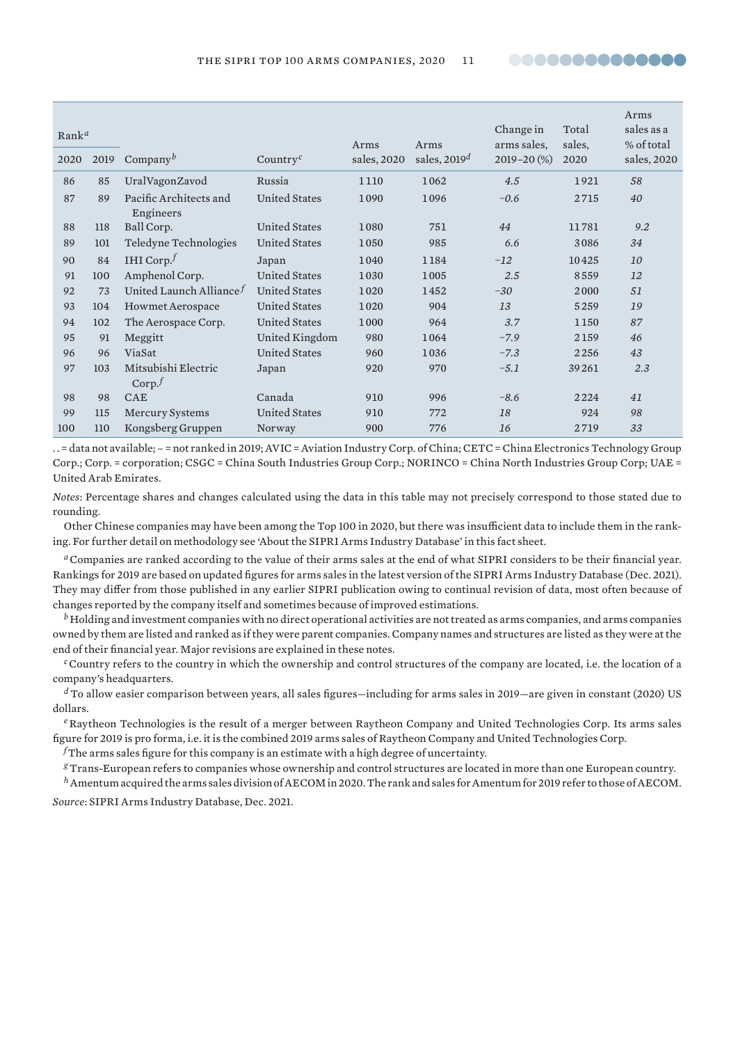**00000000000000** 

| Rank <sup>a</sup> |      |                                          |                                   | Arms        | Arms           | Change in<br>arms sales, | Total<br>sales, | Arms<br>sales as a<br>% of total |
|-------------------|------|------------------------------------------|-----------------------------------|-------------|----------------|--------------------------|-----------------|----------------------------------|
| 2020              | 2019 | Company <sup>b</sup>                     | Country <sup><math>c</math></sup> | sales, 2020 | sales, $2019d$ | $2019 - 20$ (%)          | 2020            | sales, 2020                      |
| 86                | 85   | UralVagonZavod                           | Russia                            | 1110        | 1062           | 4.5                      | 1921            | 58                               |
| 87                | 89   | Pacific Architects and<br>Engineers      | <b>United States</b>              | 1090        | 1096           | $-0.6$                   | 2715            | 40                               |
| 88                | 118  | Ball Corp.                               | United States                     | 1080        | 751            | 44                       | 11781           | 9.2                              |
| 89                | 101  | Teledyne Technologies                    | <b>United States</b>              | 1050        | 985            | 6.6                      | 3086            | 34                               |
| 90                | 84   | IHI Corp. $^f$                           | Japan                             | 1040        | 1184           | $-12$                    | 10425           | 10                               |
| 91                | 100  | Amphenol Corp.                           | <b>United States</b>              | 1030        | 1005           | 2.5                      | 8559            | 12                               |
| 92                | 73   | United Launch Alliance $f$               | <b>United States</b>              | 1020        | 1452           | $-30$                    | 2000            | 51                               |
| 93                | 104  | <b>Howmet Aerospace</b>                  | <b>United States</b>              | 1020        | 904            | 13                       | 5259            | 19                               |
| 94                | 102  | The Aerospace Corp.                      | <b>United States</b>              | 1000        | 964            | 3.7                      | 1150            | 87                               |
| 95                | 91   | Meggitt                                  | United Kingdom                    | 980         | 1064           | $-7.9$                   | 2159            | 46                               |
| 96                | 96   | ViaSat                                   | <b>United States</b>              | 960         | 1036           | $-7.3$                   | 2256            | 43                               |
| 97                | 103  | Mitsubishi Electric<br>Corp <sup>f</sup> | Japan                             | 920         | 970            | $-5.1$                   | 39261           | 2.3                              |
| 98                | 98   | <b>CAE</b>                               | Canada                            | 910         | 996            | $-8.6$                   | 2224            | 41                               |
| 99                | 115  | <b>Mercury Systems</b>                   | <b>United States</b>              | 910         | 772            | 18                       | 924             | 98                               |
| 100               | 110  | Kongsberg Gruppen                        | Norway                            | 900         | 776            | 16                       | 2719            | 33                               |

. . = data not available; – = not ranked in 2019; AVIC = Aviation Industry Corp. of China; CETC = China Electronics Technology Group Corp.; Corp. = corporation; CSGC = China South Industries Group Corp.; NORINCO = China North Industries Group Corp; UAE = United Arab Emirates.

*Notes*: Percentage shares and changes calculated using the data in this table may not precisely correspond to those stated due to rounding.

Other Chinese companies may have been among the Top 100 in 2020, but there was insufficient data to include them in the ranking. For further detail on methodology see 'About the SIPRI Arms Industry Database' in this fact sheet.

*<sup>a</sup>*Companies are ranked according to the value of their arms sales at the end of what SIPRI considers to be their financial year. Rankings for 2019 are based on updated figures for arms sales in the latest version of the SIPRI Arms Industry Database (Dec. 2021). They may differ from those published in any earlier SIPRI publication owing to continual revision of data, most often because of changes reported by the company itself and sometimes because of improved estimations.

*<sup>b</sup>* Holding and investment companies with no direct operational activities are not treated as arms companies, and arms companies owned by them are listed and ranked as if they were parent companies. Company names and structures are listed as they were at the end of their financial year. Major revisions are explained in these notes.

*<sup>c</sup>*Country refers to the country in which the ownership and control structures of the company are located, i.e. the location of a company's headquarters.

*<sup>d</sup>* To allow easier comparison between years, all sales figures—including for arms sales in 2019—are given in constant (2020) US dollars.

*<sup>e</sup>*Raytheon Technologies is the result of a merger between Raytheon Company and United Technologies Corp. Its arms sales figure for 2019 is pro forma, i.e. it is the combined 2019 arms sales of Raytheon Company and United Technologies Corp.

 $f$ The arms sales figure for this company is an estimate with a high degree of uncertainty.

*<sup>g</sup>*Trans-European refers to companies whose ownership and control structures are located in more than one European country.

*<sup>h</sup>*Amentum acquired the arms sales division of AECOM in 2020. The rank and sales for Amentum for 2019 refer to those of AECOM.

*Source*: [SIPRI Arms Industry Database,](https://www.sipri.org/databases/armsindustry) Dec. 2021.